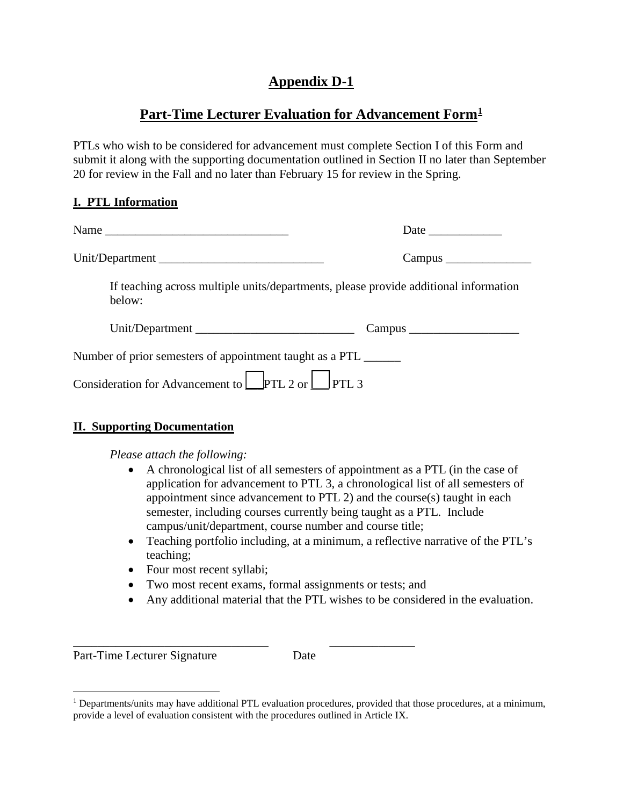# **Appendix D-1**

## **Part-Time Lecturer Evaluation for Advancement Form[1](#page-0-0)**

PTLs who wish to be considered for advancement must complete Section I of this Form and submit it along with the supporting documentation outlined in Section II no later than September 20 for review in the Fall and no later than February 15 for review in the Spring.

### **I. PTL Information**

| If teaching across multiple units/departments, please provide additional information<br>below: |  |  |  |
|------------------------------------------------------------------------------------------------|--|--|--|
| Unit/Department                                                                                |  |  |  |
| Number of prior semesters of appointment taught as a PTL _______                               |  |  |  |
| Consideration for Advancement to $\Box$ PTL 2 or $\Box$ PTL 3                                  |  |  |  |

### **II. Supporting Documentation**

*Please attach the following:*

- A chronological list of all semesters of appointment as a PTL (in the case of application for advancement to PTL 3, a chronological list of all semesters of appointment since advancement to PTL 2) and the course(s) taught in each semester, including courses currently being taught as a PTL. Include campus/unit/department, course number and course title;
- Teaching portfolio including, at a minimum, a reflective narrative of the PTL's teaching;
- Four most recent syllabi;
- Two most recent exams, formal assignments or tests; and

\_\_\_\_\_\_\_\_\_\_\_\_\_\_\_\_\_\_\_\_\_\_\_\_\_\_\_\_\_\_\_\_ \_\_\_\_\_\_\_\_\_\_\_\_\_\_

• Any additional material that the PTL wishes to be considered in the evaluation.

Part-Time Lecturer Signature Date

<span id="page-0-0"></span> $<sup>1</sup>$  Departments/units may have additional PTL evaluation procedures, provided that those procedures, at a minimum,</sup> provide a level of evaluation consistent with the procedures outlined in Article IX.  $\overline{a}$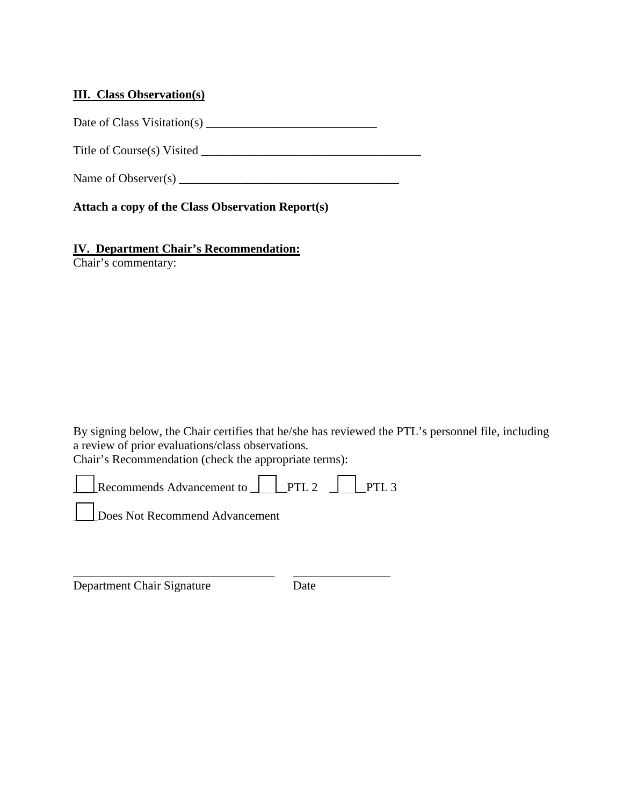### **III. Class Observation(s)**

Date of Class Visitation(s) \_\_\_\_\_\_\_\_\_\_\_\_\_\_\_\_\_\_\_\_\_\_\_\_\_\_\_\_

Title of Course(s) Visited \_\_\_\_\_\_\_\_\_\_\_\_\_\_\_\_\_\_\_\_\_\_\_\_\_\_\_\_\_\_\_\_\_\_\_\_

Name of Observer(s) \_\_\_\_\_\_\_\_\_\_\_\_\_\_\_\_\_\_\_\_\_\_\_\_\_\_\_\_\_\_\_\_\_\_\_\_

**Attach a copy of the Class Observation Report(s)** 

### **IV. Department Chair's Recommendation:**

Chair's commentary:

By signing below, the Chair certifies that he/she has reviewed the PTL's personnel file, including a review of prior evaluations/class observations.

Chair's Recommendation (check the appropriate terms):



| Department Chair Signature | Date |  |
|----------------------------|------|--|